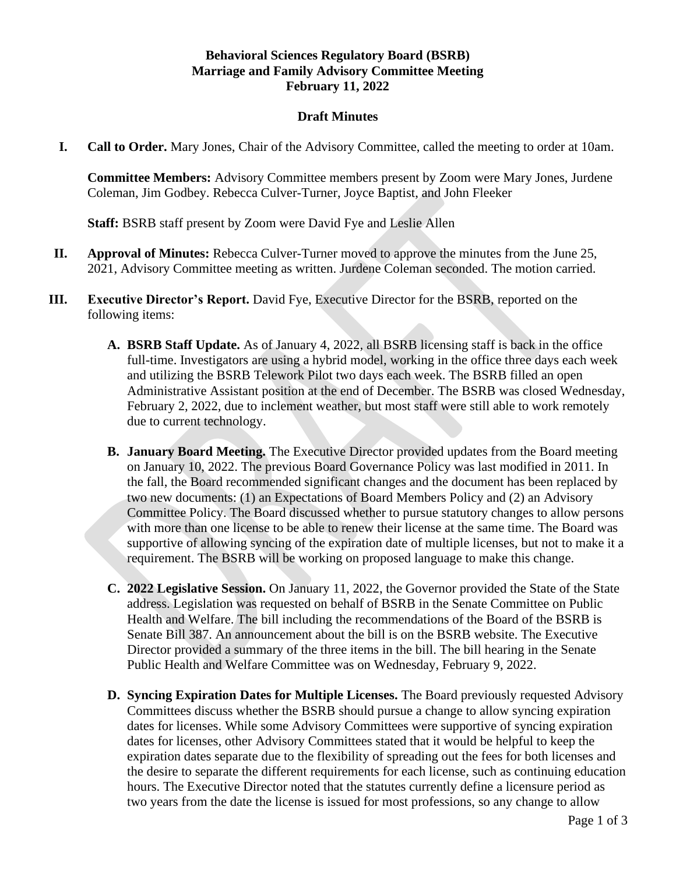## **Behavioral Sciences Regulatory Board (BSRB) Marriage and Family Advisory Committee Meeting February 11, 2022**

## **Draft Minutes**

**I. Call to Order.** Mary Jones, Chair of the Advisory Committee, called the meeting to order at 10am.

**Committee Members:** Advisory Committee members present by Zoom were Mary Jones, Jurdene Coleman, Jim Godbey. Rebecca Culver-Turner, Joyce Baptist, and John Fleeker

**Staff:** BSRB staff present by Zoom were David Fye and Leslie Allen

- **II. Approval of Minutes:** Rebecca Culver-Turner moved to approve the minutes from the June 25, 2021, Advisory Committee meeting as written. Jurdene Coleman seconded. The motion carried.
- **III. Executive Director's Report.** David Fye, Executive Director for the BSRB, reported on the following items:
	- **A. BSRB Staff Update.** As of January 4, 2022, all BSRB licensing staff is back in the office full-time. Investigators are using a hybrid model, working in the office three days each week and utilizing the BSRB Telework Pilot two days each week. The BSRB filled an open Administrative Assistant position at the end of December. The BSRB was closed Wednesday, February 2, 2022, due to inclement weather, but most staff were still able to work remotely due to current technology.
	- **B. January Board Meeting.** The Executive Director provided updates from the Board meeting on January 10, 2022. The previous Board Governance Policy was last modified in 2011. In the fall, the Board recommended significant changes and the document has been replaced by two new documents: (1) an Expectations of Board Members Policy and (2) an Advisory Committee Policy. The Board discussed whether to pursue statutory changes to allow persons with more than one license to be able to renew their license at the same time. The Board was supportive of allowing syncing of the expiration date of multiple licenses, but not to make it a requirement. The BSRB will be working on proposed language to make this change.
	- **C. 2022 Legislative Session.** On January 11, 2022, the Governor provided the State of the State address. Legislation was requested on behalf of BSRB in the Senate Committee on Public Health and Welfare. The bill including the recommendations of the Board of the BSRB is Senate Bill 387. An announcement about the bill is on the BSRB website. The Executive Director provided a summary of the three items in the bill. The bill hearing in the Senate Public Health and Welfare Committee was on Wednesday, February 9, 2022.
	- **D. Syncing Expiration Dates for Multiple Licenses.** The Board previously requested Advisory Committees discuss whether the BSRB should pursue a change to allow syncing expiration dates for licenses. While some Advisory Committees were supportive of syncing expiration dates for licenses, other Advisory Committees stated that it would be helpful to keep the expiration dates separate due to the flexibility of spreading out the fees for both licenses and the desire to separate the different requirements for each license, such as continuing education hours. The Executive Director noted that the statutes currently define a licensure period as two years from the date the license is issued for most professions, so any change to allow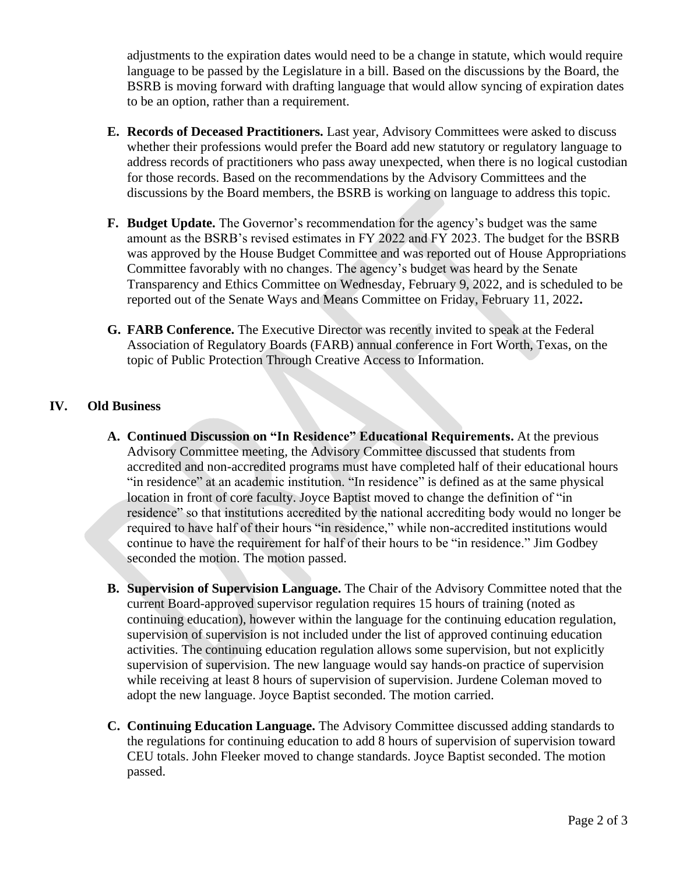adjustments to the expiration dates would need to be a change in statute, which would require language to be passed by the Legislature in a bill. Based on the discussions by the Board, the BSRB is moving forward with drafting language that would allow syncing of expiration dates to be an option, rather than a requirement.

- **E. Records of Deceased Practitioners.** Last year, Advisory Committees were asked to discuss whether their professions would prefer the Board add new statutory or regulatory language to address records of practitioners who pass away unexpected, when there is no logical custodian for those records. Based on the recommendations by the Advisory Committees and the discussions by the Board members, the BSRB is working on language to address this topic.
- **F. Budget Update.** The Governor's recommendation for the agency's budget was the same amount as the BSRB's revised estimates in FY 2022 and FY 2023. The budget for the BSRB was approved by the House Budget Committee and was reported out of House Appropriations Committee favorably with no changes. The agency's budget was heard by the Senate Transparency and Ethics Committee on Wednesday, February 9, 2022, and is scheduled to be reported out of the Senate Ways and Means Committee on Friday, February 11, 2022**.**
- **G. FARB Conference.** The Executive Director was recently invited to speak at the Federal Association of Regulatory Boards (FARB) annual conference in Fort Worth, Texas, on the topic of Public Protection Through Creative Access to Information.

## **IV. Old Business**

- **A. Continued Discussion on "In Residence" Educational Requirements.** At the previous Advisory Committee meeting, the Advisory Committee discussed that students from accredited and non-accredited programs must have completed half of their educational hours "in residence" at an academic institution. "In residence" is defined as at the same physical location in front of core faculty. Joyce Baptist moved to change the definition of "in residence" so that institutions accredited by the national accrediting body would no longer be required to have half of their hours "in residence," while non-accredited institutions would continue to have the requirement for half of their hours to be "in residence." Jim Godbey seconded the motion. The motion passed.
- **B. Supervision of Supervision Language.** The Chair of the Advisory Committee noted that the current Board-approved supervisor regulation requires 15 hours of training (noted as continuing education), however within the language for the continuing education regulation, supervision of supervision is not included under the list of approved continuing education activities. The continuing education regulation allows some supervision, but not explicitly supervision of supervision. The new language would say hands-on practice of supervision while receiving at least 8 hours of supervision of supervision. Jurdene Coleman moved to adopt the new language. Joyce Baptist seconded. The motion carried.
- **C. Continuing Education Language.** The Advisory Committee discussed adding standards to the regulations for continuing education to add 8 hours of supervision of supervision toward CEU totals. John Fleeker moved to change standards. Joyce Baptist seconded. The motion passed.